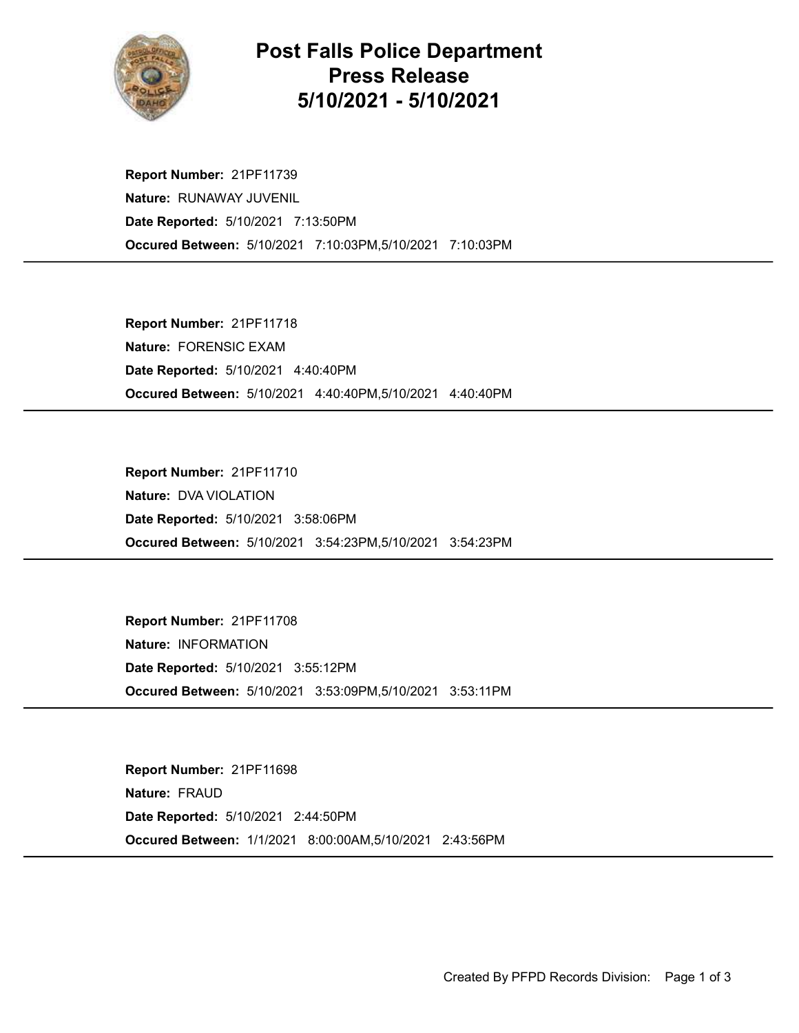

## Post Falls Police Department Press Release 5/10/2021 - 5/10/2021

Occured Between: 5/10/2021 7:10:03PM,5/10/2021 7:10:03PM Report Number: 21PF11739 Nature: RUNAWAY JUVENIL Date Reported: 5/10/2021 7:13:50PM

Occured Between: 5/10/2021 4:40:40PM,5/10/2021 4:40:40PM Report Number: 21PF11718 Nature: FORENSIC EXAM Date Reported: 5/10/2021 4:40:40PM

Occured Between: 5/10/2021 3:54:23PM,5/10/2021 3:54:23PM Report Number: 21PF11710 Nature: DVA VIOLATION Date Reported: 5/10/2021 3:58:06PM

Occured Between: 5/10/2021 3:53:09PM,5/10/2021 3:53:11PM Report Number: 21PF11708 Nature: INFORMATION Date Reported: 5/10/2021 3:55:12PM

Occured Between: 1/1/2021 8:00:00AM,5/10/2021 2:43:56PM Report Number: 21PF11698 Nature: FRAUD Date Reported: 5/10/2021 2:44:50PM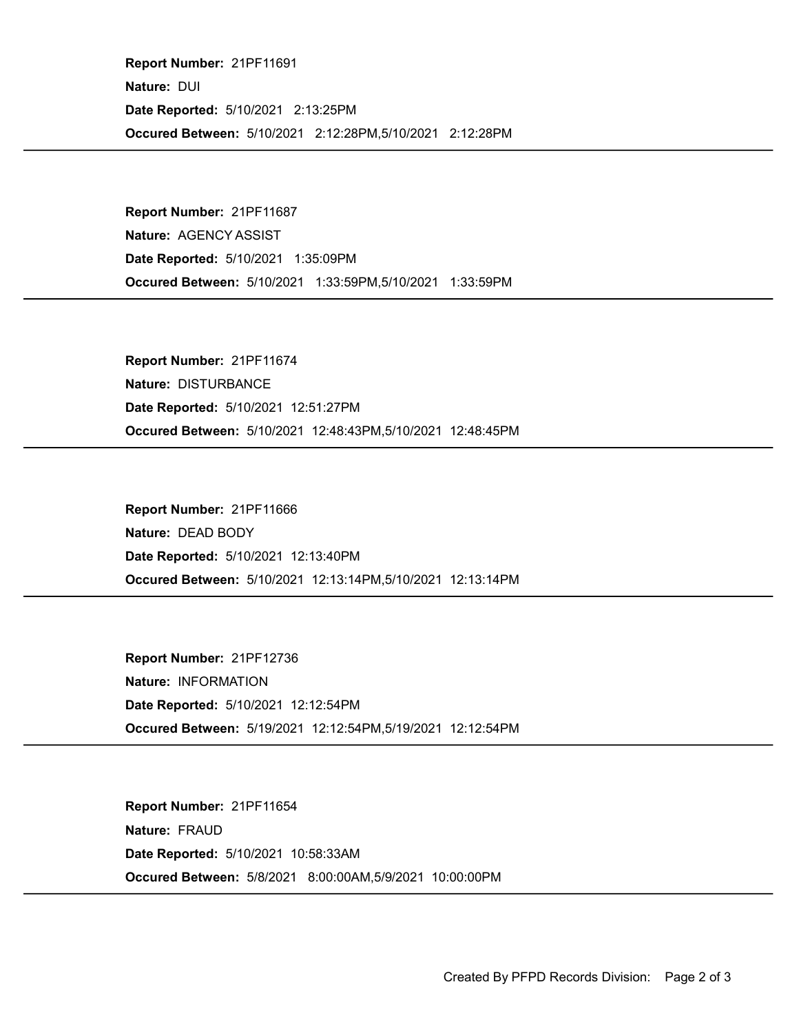Occured Between: 5/10/2021 2:12:28PM,5/10/2021 2:12:28PM Report Number: 21PF11691 Nature: DUI Date Reported: 5/10/2021 2:13:25PM

Occured Between: 5/10/2021 1:33:59PM,5/10/2021 1:33:59PM Report Number: 21PF11687 Nature: AGENCY ASSIST Date Reported: 5/10/2021 1:35:09PM

Occured Between: 5/10/2021 12:48:43PM,5/10/2021 12:48:45PM Report Number: 21PF11674 Nature: DISTURBANCE Date Reported: 5/10/2021 12:51:27PM

Occured Between: 5/10/2021 12:13:14PM,5/10/2021 12:13:14PM Report Number: 21PF11666 Nature: DEAD BODY Date Reported: 5/10/2021 12:13:40PM

Occured Between: 5/19/2021 12:12:54PM,5/19/2021 12:12:54PM Report Number: 21PF12736 Nature: INFORMATION Date Reported: 5/10/2021 12:12:54PM

Occured Between: 5/8/2021 8:00:00AM,5/9/2021 10:00:00PM Report Number: 21PF11654 Nature: FRAUD Date Reported: 5/10/2021 10:58:33AM